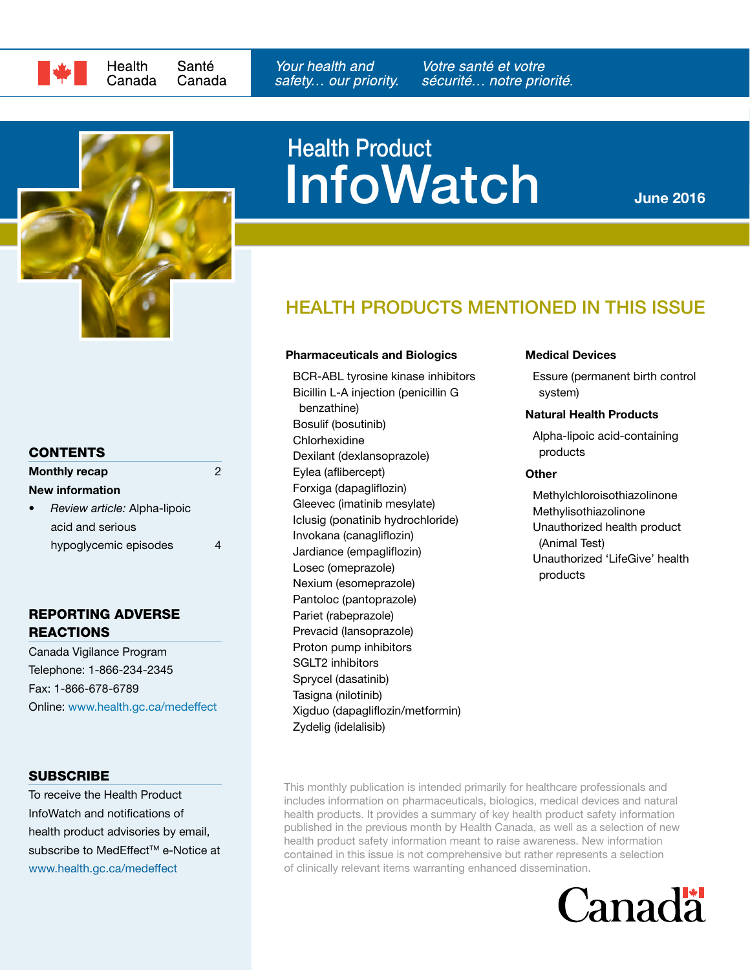



# **InfoWatch** Health Product

June 2016

## HEALTH PRODUCTS MENTIONED IN THIS ISSUE

#### Pharmaceuticals and Biologics

[BCR-ABL tyrosine kinase inhibitors](#page-1-0) [Bicillin L-A injection \(penicillin G](#page-1-1) [benzathine\)](#page-1-1) [Bosulif \(bosutinib\)](#page-1-0) [Chlorhexidine](#page-1-2) [Dexilant \(dexlansoprazole\)](#page-2-0) [Eylea \(aflibercept\)](#page-2-1) [Forxiga \(dapagliflozin\)](#page-2-2) [Gleevec \(imatinib mesylate\)](#page-1-0) [Iclusig \(ponatinib hydrochloride\)](#page-1-0) [Invokana \(canagliflozin\)](#page-2-2) [Jardiance \(empagliflozin\)](#page-2-2) [Losec \(omeprazole\)](#page-2-0) [Nexium \(esomeprazole\)](#page-2-0) [Pantoloc \(pantoprazole\)](#page-2-0) [Pariet \(rabeprazole\)](#page-2-0) [Prevacid \(lansoprazole\)](#page-2-0) [Proton pump inhibitors](#page-2-0) [SGLT2 inhibitors](#page-2-2) [Sprycel \(dasatinib\)](#page-1-0) [Tasigna \(nilotinib\)](#page-1-0) [Xigduo \(dapagliflozin/metformin\)](#page-2-2) [Zydelig \(idelalisib\)](#page-3-0)

#### Medical Devices

[Essure \(permanent birth control](#page-1-3)  [system\)](#page-1-3)

#### Natural Health Products

Alpha-lipoic acid-containing products

#### **Other**

[Methylchloroisothiazolinone](#page-2-3) [Methylisothiazolinone](#page-2-3) [Unauthorized health product](#page-2-4) [\(Animal Test\)](#page-2-4) Unauthorized 'LifeGive' health products

#### **CONTENTS**

| <b>Monthly recap</b><br>2 |                              |  |  |
|---------------------------|------------------------------|--|--|
|                           | <b>New information</b>       |  |  |
| $\bullet$                 | Review article: Alpha-lipoic |  |  |
|                           | acid and serious             |  |  |
|                           | hypoglycemic episodes        |  |  |

#### REPORTING ADVERSE **REACTIONS**

Canada Vigilance Program Telephone: 1-866-234-2345 Fax: 1-866-678-6789 Online: <www.health.gc.ca/medeffect>

#### **SUBSCRIBE**

To receive the Health Product InfoWatch and notifications of health product advisories by email, subscribe to MedEffect™ e-Notice at <www.health.gc.ca/medeffect>

This monthly publication is intended primarily for healthcare professionals and includes information on pharmaceuticals, biologics, medical devices and natural health products. It provides a summary of key health product safety information published in the previous month by Health Canada, as well as a selection of new health product safety information meant to raise awareness. New information contained in this issue is not comprehensive but rather represents a selection of clinically relevant items warranting enhanced dissemination.

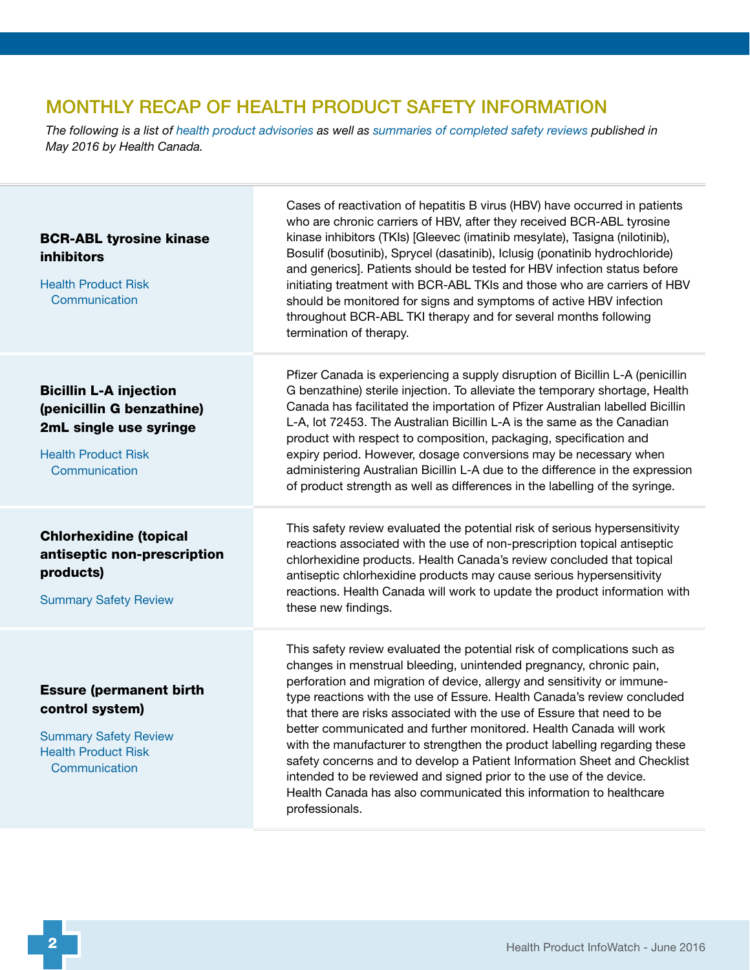# MONTHLY RECAP OF HEALTH PRODUCT SAFETY INFORMATION

*The following is a list of [health product advisories](http://www.healthycanadians.gc.ca/recall-alert-rappel-avis/index-eng.php?cat=3) as well as [summaries of completed safety reviews](http://www.hc-sc.gc.ca/dhp-mps/medeff/reviews-examens/index-eng.php) published in May 2016 by Health Canada.*

<span id="page-1-3"></span><span id="page-1-2"></span><span id="page-1-1"></span><span id="page-1-0"></span>

| <b>BCR-ABL tyrosine kinase</b><br><b>inhibitors</b><br><b>Health Product Risk</b><br>Communication                                  | Cases of reactivation of hepatitis B virus (HBV) have occurred in patients<br>who are chronic carriers of HBV, after they received BCR-ABL tyrosine<br>kinase inhibitors (TKIs) [Gleevec (imatinib mesylate), Tasigna (nilotinib),<br>Bosulif (bosutinib), Sprycel (dasatinib), Iclusig (ponatinib hydrochloride)<br>and generics]. Patients should be tested for HBV infection status before<br>initiating treatment with BCR-ABL TKIs and those who are carriers of HBV<br>should be monitored for signs and symptoms of active HBV infection<br>throughout BCR-ABL TKI therapy and for several months following<br>termination of therapy.                                                                                                                               |
|-------------------------------------------------------------------------------------------------------------------------------------|-----------------------------------------------------------------------------------------------------------------------------------------------------------------------------------------------------------------------------------------------------------------------------------------------------------------------------------------------------------------------------------------------------------------------------------------------------------------------------------------------------------------------------------------------------------------------------------------------------------------------------------------------------------------------------------------------------------------------------------------------------------------------------|
| <b>Bicillin L-A injection</b><br>(penicillin G benzathine)<br>2mL single use syringe<br><b>Health Product Risk</b><br>Communication | Pfizer Canada is experiencing a supply disruption of Bicillin L-A (penicillin<br>G benzathine) sterile injection. To alleviate the temporary shortage, Health<br>Canada has facilitated the importation of Pfizer Australian labelled Bicillin<br>L-A, lot 72453. The Australian Bicillin L-A is the same as the Canadian<br>product with respect to composition, packaging, specification and<br>expiry period. However, dosage conversions may be necessary when<br>administering Australian Bicillin L-A due to the difference in the expression<br>of product strength as well as differences in the labelling of the syringe.                                                                                                                                          |
| <b>Chlorhexidine (topical</b><br>antiseptic non-prescription<br>products)<br><b>Summary Safety Review</b>                           | This safety review evaluated the potential risk of serious hypersensitivity<br>reactions associated with the use of non-prescription topical antiseptic<br>chlorhexidine products. Health Canada's review concluded that topical<br>antiseptic chlorhexidine products may cause serious hypersensitivity<br>reactions. Health Canada will work to update the product information with<br>these new findings.                                                                                                                                                                                                                                                                                                                                                                |
| <b>Essure (permanent birth</b><br>control system)<br><b>Summary Safety Review</b><br><b>Health Product Risk</b><br>Communication    | This safety review evaluated the potential risk of complications such as<br>changes in menstrual bleeding, unintended pregnancy, chronic pain,<br>perforation and migration of device, allergy and sensitivity or immune-<br>type reactions with the use of Essure. Health Canada's review concluded<br>that there are risks associated with the use of Essure that need to be<br>better communicated and further monitored. Health Canada will work<br>with the manufacturer to strengthen the product labelling regarding these<br>safety concerns and to develop a Patient Information Sheet and Checklist<br>intended to be reviewed and signed prior to the use of the device.<br>Health Canada has also communicated this information to healthcare<br>professionals. |
|                                                                                                                                     |                                                                                                                                                                                                                                                                                                                                                                                                                                                                                                                                                                                                                                                                                                                                                                             |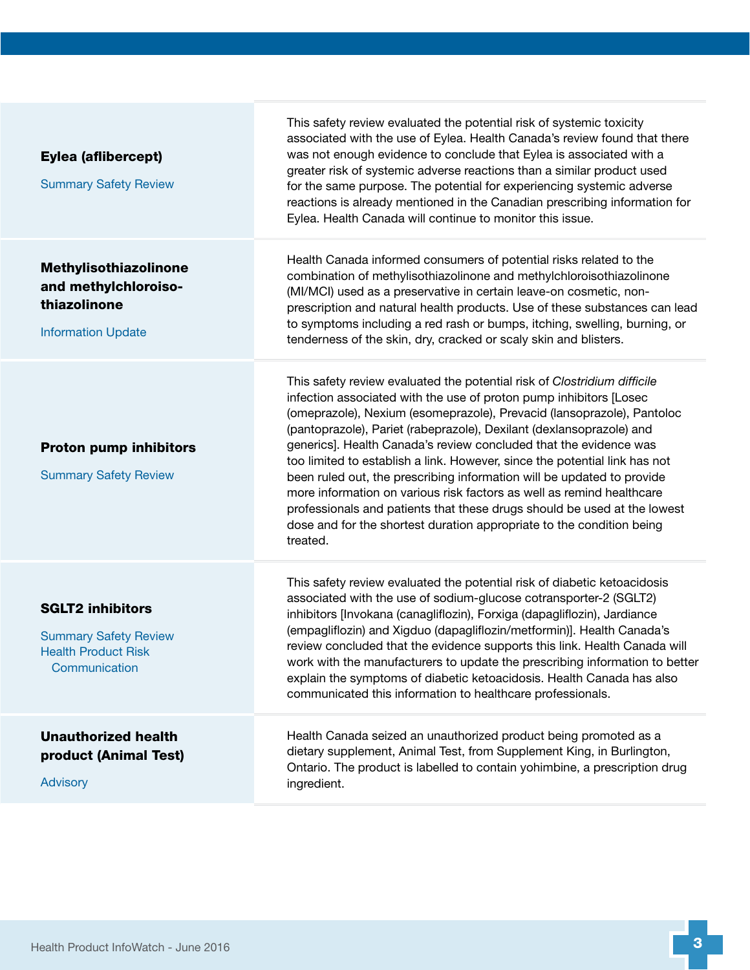<span id="page-2-4"></span><span id="page-2-3"></span><span id="page-2-2"></span><span id="page-2-1"></span><span id="page-2-0"></span>

| Eylea (aflibercept)<br><b>Summary Safety Review</b>                                                    | This safety review evaluated the potential risk of systemic toxicity<br>associated with the use of Eylea. Health Canada's review found that there<br>was not enough evidence to conclude that Eylea is associated with a<br>greater risk of systemic adverse reactions than a similar product used<br>for the same purpose. The potential for experiencing systemic adverse<br>reactions is already mentioned in the Canadian prescribing information for<br>Eylea. Health Canada will continue to monitor this issue.                                                                                                                                                                                                                                                  |
|--------------------------------------------------------------------------------------------------------|-------------------------------------------------------------------------------------------------------------------------------------------------------------------------------------------------------------------------------------------------------------------------------------------------------------------------------------------------------------------------------------------------------------------------------------------------------------------------------------------------------------------------------------------------------------------------------------------------------------------------------------------------------------------------------------------------------------------------------------------------------------------------|
| Methylisothiazolinone<br>and methylchloroiso-<br>thiazolinone<br><b>Information Update</b>             | Health Canada informed consumers of potential risks related to the<br>combination of methylisothiazolinone and methylchloroisothiazolinone<br>(MI/MCI) used as a preservative in certain leave-on cosmetic, non-<br>prescription and natural health products. Use of these substances can lead<br>to symptoms including a red rash or bumps, itching, swelling, burning, or<br>tenderness of the skin, dry, cracked or scaly skin and blisters.                                                                                                                                                                                                                                                                                                                         |
| <b>Proton pump inhibitors</b><br><b>Summary Safety Review</b>                                          | This safety review evaluated the potential risk of Clostridium difficile<br>infection associated with the use of proton pump inhibitors [Losec<br>(omeprazole), Nexium (esomeprazole), Prevacid (lansoprazole), Pantoloc<br>(pantoprazole), Pariet (rabeprazole), Dexilant (dexlansoprazole) and<br>generics]. Health Canada's review concluded that the evidence was<br>too limited to establish a link. However, since the potential link has not<br>been ruled out, the prescribing information will be updated to provide<br>more information on various risk factors as well as remind healthcare<br>professionals and patients that these drugs should be used at the lowest<br>dose and for the shortest duration appropriate to the condition being<br>treated. |
| <b>SGLT2 inhibitors</b><br><b>Summary Safety Review</b><br><b>Health Product Risk</b><br>Communication | This safety review evaluated the potential risk of diabetic ketoacidosis<br>associated with the use of sodium-glucose cotransporter-2 (SGLT2)<br>inhibitors [Invokana (canagliflozin), Forxiga (dapagliflozin), Jardiance<br>(empagliflozin) and Xigduo (dapagliflozin/metformin)]. Health Canada's<br>review concluded that the evidence supports this link. Health Canada will<br>work with the manufacturers to update the prescribing information to better<br>explain the symptoms of diabetic ketoacidosis. Health Canada has also<br>communicated this information to healthcare professionals.                                                                                                                                                                  |
| <b>Unauthorized health</b><br>product (Animal Test)<br><b>Advisory</b>                                 | Health Canada seized an unauthorized product being promoted as a<br>dietary supplement, Animal Test, from Supplement King, in Burlington,<br>Ontario. The product is labelled to contain yohimbine, a prescription drug<br>ingredient.                                                                                                                                                                                                                                                                                                                                                                                                                                                                                                                                  |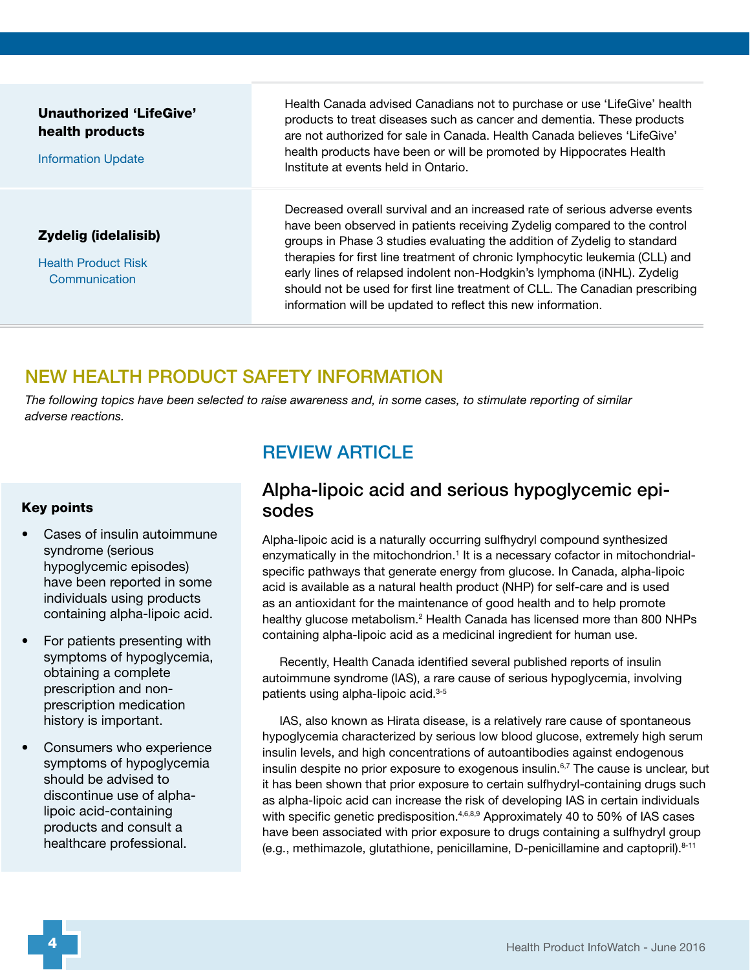<span id="page-3-0"></span>

| Unauthorized 'LifeGive'<br>health products<br><b>Information Update</b> | Health Canada advised Canadians not to purchase or use 'LifeGive' health<br>products to treat diseases such as cancer and dementia. These products<br>are not authorized for sale in Canada. Health Canada believes 'LifeGive'<br>health products have been or will be promoted by Hippocrates Health<br>Institute at events held in Ontario.                                                                                                                                                                                                 |
|-------------------------------------------------------------------------|-----------------------------------------------------------------------------------------------------------------------------------------------------------------------------------------------------------------------------------------------------------------------------------------------------------------------------------------------------------------------------------------------------------------------------------------------------------------------------------------------------------------------------------------------|
| Zydelig (idelalisib)<br><b>Health Product Risk</b><br>Communication     | Decreased overall survival and an increased rate of serious adverse events<br>have been observed in patients receiving Zydelig compared to the control<br>groups in Phase 3 studies evaluating the addition of Zydelig to standard<br>therapies for first line treatment of chronic lymphocytic leukemia (CLL) and<br>early lines of relapsed indolent non-Hodgkin's lymphoma (iNHL). Zydelig<br>should not be used for first line treatment of CLL. The Canadian prescribing<br>information will be updated to reflect this new information. |

## NEW HEALTH PRODUCT SAFETY INFORMATION

*The following topics have been selected to raise awareness and, in some cases, to stimulate reporting of similar adverse reactions.*

#### Key points

- Cases of insulin autoimmune syndrome (serious hypoglycemic episodes) have been reported in some individuals using products containing alpha-lipoic acid.
- For patients presenting with symptoms of hypoglycemia, obtaining a complete prescription and nonprescription medication history is important.
- Consumers who experience symptoms of hypoglycemia should be advised to discontinue use of alphalipoic acid-containing products and consult a healthcare professional.

## REVIEW ARTICLE

### Alpha-lipoic acid and serious hypoglycemic episodes

Alpha-lipoic acid is a naturally occurring sulfhydryl compound synthesized enzymatically in the mitochondrion.<sup>1</sup> It is a necessary cofactor in mitochondrialspecific pathways that generate energy from glucose. In Canada, alpha-lipoic acid is available as a natural health product (NHP) for self-care and is used as an antioxidant for the maintenance of good health and to help promote healthy glucose metabolism.<sup>2</sup> Health Canada has licensed more than 800 NHPs containing alpha-lipoic acid as a medicinal ingredient for human use.

Recently, Health Canada identified several published reports of insulin autoimmune syndrome (IAS), a rare cause of serious hypoglycemia, involving patients using alpha-lipoic acid.<sup>3-5</sup>

IAS, also known as Hirata disease, is a relatively rare cause of spontaneous hypoglycemia characterized by serious low blood glucose, extremely high serum insulin levels, and high concentrations of autoantibodies against endogenous insulin despite no prior exposure to exogenous insulin.<sup>6,7</sup> The cause is unclear, but it has been shown that prior exposure to certain sulfhydryl-containing drugs such as alpha-lipoic acid can increase the risk of developing IAS in certain individuals with specific genetic predisposition.<sup>4,6,8,9</sup> Approximately 40 to 50% of IAS cases have been associated with prior exposure to drugs containing a sulfhydryl group (e.g., methimazole, glutathione, penicillamine, D-penicillamine and captopril).8-11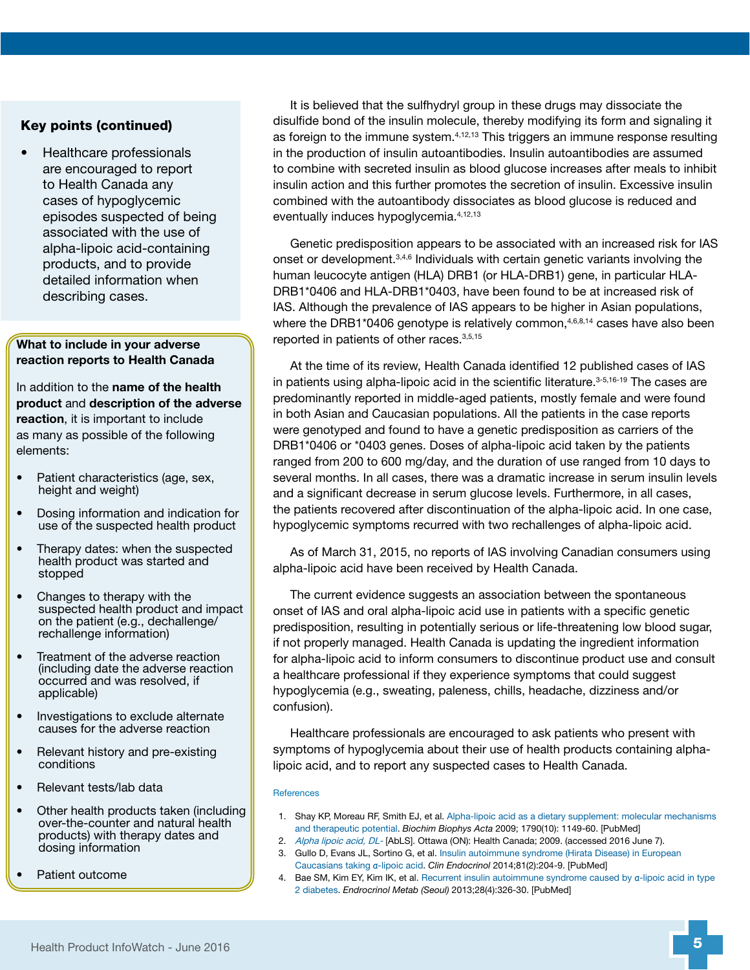#### Key points (continued)

• Healthcare professionals are encouraged to report to Health Canada any cases of hypoglycemic episodes suspected of being associated with the use of alpha-lipoic acid-containing products, and to provide detailed information when describing cases.

#### What to include in your adverse reaction reports to Health Canada

In addition to the **name of the health** product and description of the adverse reaction, it is important to include as many as possible of the following elements:

- Patient characteristics (age, sex, height and weight)
- Dosing information and indication for use of the suspected health product
- Therapy dates: when the suspected health product was started and stopped
- Changes to therapy with the suspected health product and impact on the patient (e.g., dechallenge/ rechallenge information)
- Treatment of the adverse reaction (including date the adverse reaction occurred and was resolved, if applicable)
- Investigations to exclude alternate causes for the adverse reaction
- Relevant history and pre-existing conditions
- Relevant tests/lab data
- Other health products taken (including over-the-counter and natural health products) with therapy dates and dosing information
- Patient outcome

It is believed that the sulfhydryl group in these drugs may dissociate the disulfide bond of the insulin molecule, thereby modifying its form and signaling it as foreign to the immune system.<sup>4,12,13</sup> This triggers an immune response resulting in the production of insulin autoantibodies. Insulin autoantibodies are assumed to combine with secreted insulin as blood glucose increases after meals to inhibit insulin action and this further promotes the secretion of insulin. Excessive insulin combined with the autoantibody dissociates as blood glucose is reduced and eventually induces hypoglycemia.4,12,13

Genetic predisposition appears to be associated with an increased risk for IAS onset or development.3,4,6 Individuals with certain genetic variants involving the human leucocyte antigen (HLA) DRB1 (or HLA-DRB1) gene, in particular HLA-DRB1\*0406 and HLA-DRB1\*0403, have been found to be at increased risk of IAS. Although the prevalence of IAS appears to be higher in Asian populations, where the DRB1\*0406 genotype is relatively common,<sup>4,6,8,14</sup> cases have also been reported in patients of other races.3,5,15

At the time of its review, Health Canada identified 12 published cases of IAS in patients using alpha-lipoic acid in the scientific literature.<sup>3-5,16-19</sup> The cases are predominantly reported in middle-aged patients, mostly female and were found in both Asian and Caucasian populations. All the patients in the case reports were genotyped and found to have a genetic predisposition as carriers of the DRB1\*0406 or \*0403 genes. Doses of alpha-lipoic acid taken by the patients ranged from 200 to 600 mg/day, and the duration of use ranged from 10 days to several months. In all cases, there was a dramatic increase in serum insulin levels and a significant decrease in serum glucose levels. Furthermore, in all cases, the patients recovered after discontinuation of the alpha-lipoic acid. In one case, hypoglycemic symptoms recurred with two rechallenges of alpha-lipoic acid.

As of March 31, 2015, no reports of IAS involving Canadian consumers using alpha-lipoic acid have been received by Health Canada.

The current evidence suggests an association between the spontaneous onset of IAS and oral alpha-lipoic acid use in patients with a specific genetic predisposition, resulting in potentially serious or life-threatening low blood sugar, if not properly managed. Health Canada is updating the ingredient information for alpha-lipoic acid to inform consumers to discontinue product use and consult a healthcare professional if they experience symptoms that could suggest hypoglycemia (e.g., sweating, paleness, chills, headache, dizziness and/or confusion).

Healthcare professionals are encouraged to ask patients who present with symptoms of hypoglycemia about their use of health products containing alphalipoic acid, and to report any suspected cases to Health Canada.

#### **References**

- 1. Shay KP, Moreau RF, Smith EJ, et al. [Alpha-lipoic acid as a dietary supplement: molecular mechanisms](http://www.ncbi.nlm.nih.gov/pubmed/?term=1.%09Shay+KP%2C+Moreau+RF%2C+Smith+EJ%2C+et+al.+Alpha-lipoic+acid+as+a+dietary+supplement%3A+molecular+mechanisms+and+therapeutic+potential.+Biochim+Biophys+Acta+2009%3B+1790(10)%3A+1149-60.)  [and therapeutic potential.](http://www.ncbi.nlm.nih.gov/pubmed/?term=1.%09Shay+KP%2C+Moreau+RF%2C+Smith+EJ%2C+et+al.+Alpha-lipoic+acid+as+a+dietary+supplement%3A+molecular+mechanisms+and+therapeutic+potential.+Biochim+Biophys+Acta+2009%3B+1790(10)%3A+1149-60.) *Biochim Biophys Acta* 2009; 1790(10): 1149-60. [PubMed]
- 2. [Alpha lipoic acid, DL-](http://webprod.hc-sc.gc.ca/nhpid-bdipsn/monoReq.do?id=194&lang=eng) [AbLS]. Ottawa (ON): Health Canada; 2009. (accessed 2016 June 7).
- 3. Gullo D, Evans JL, Sortino G, et al. [Insulin autoimmune syndrome \(Hirata Disease\) in European](http://www.ncbi.nlm.nih.gov/pubmed/?term=Gullo+D%2C+Evans+JL%2C+Sortino+G%2C+et+al.+Insulin+autoimmune+syndrome+(Hirata+Disease)+in+European+Caucasians+taking+a-lipoic+acid.+Clin+Endocrinol+2014%3B81(2)%3A204-9.)  [Caucasians taking](http://www.ncbi.nlm.nih.gov/pubmed/?term=Gullo+D%2C+Evans+JL%2C+Sortino+G%2C+et+al.+Insulin+autoimmune+syndrome+(Hirata+Disease)+in+European+Caucasians+taking+a-lipoic+acid.+Clin+Endocrinol+2014%3B81(2)%3A204-9.) α-lipoic acid. *Clin Endocrinol* 2014;81(2):204-9. [PubMed]
- 4. Bae SM, Kim EY, Kim IK, et al. [Recurrent insulin autoimmune syndrome caused by](http://www.ncbi.nlm.nih.gov/pubmed/?term=Recurrent+insulin+autoimmune+syndrome+caused+by+%CE%B1-lipoic+acid+in+type+2+diabetes.+Endrocrinol+Metab+(Seoul)+2013%3B28(4)%3A326-30.) α-lipoic acid in type [2 diabetes.](http://www.ncbi.nlm.nih.gov/pubmed/?term=Recurrent+insulin+autoimmune+syndrome+caused+by+%CE%B1-lipoic+acid+in+type+2+diabetes.+Endrocrinol+Metab+(Seoul)+2013%3B28(4)%3A326-30.) *Endrocrinol Metab (Seoul)* 2013;28(4):326-30. [PubMed]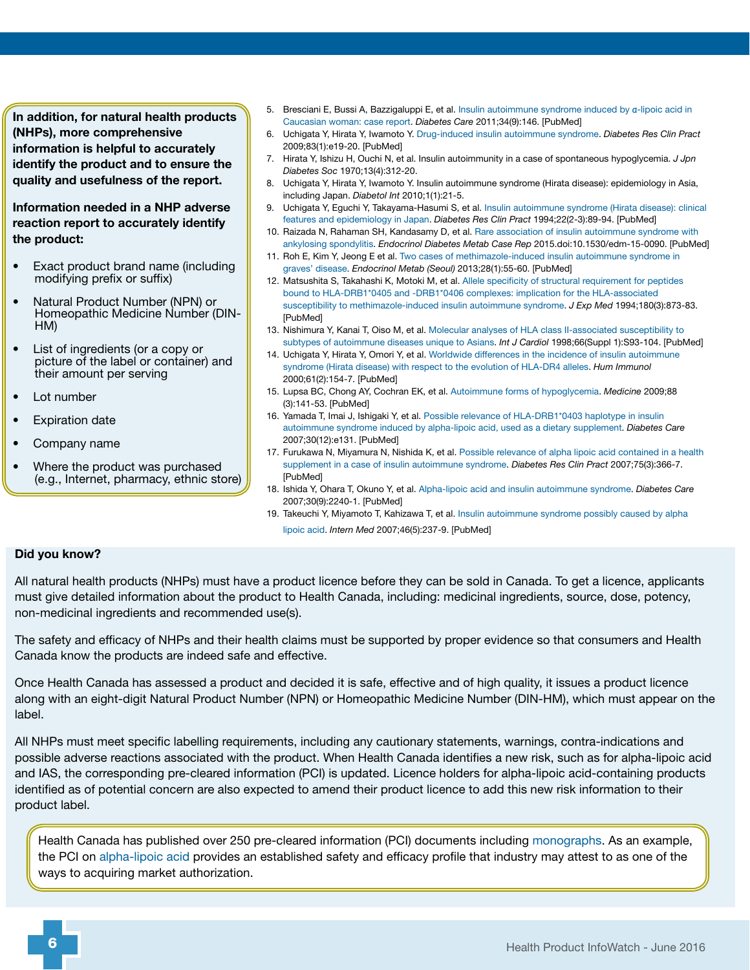In addition, for natural health products (NHPs), more comprehensive information is helpful to accurately identify the product and to ensure the quality and usefulness of the report.

Information needed in a NHP adverse reaction report to accurately identify the product:

- Exact product brand name (including modifying prefix or suffix)
- Natural Product Number (NPN) or Homeopathic Medicine Number (DIN-HM)
- List of ingredients (or a copy or picture of the label or container) and their amount per serving
- Lot number
- **Expiration date**
- Company name
- Where the product was purchased (e.g., Internet, pharmacy, ethnic store)
- 5. Bresciani E, Bussi A, Bazzigaluppi E, et al. [Insulin autoimmune syndrome induced by](http://www.ncbi.nlm.nih.gov/pubmed/?term=5.%09Bresciani+E%2C+Bussi+A%2C+Bazzigaluppi+E%2C+et+al.+Insulin+autoimmune+syndrome+induced+by+%CE%B1-lipoic+acid+in+Caucasian+woman%3A+case+report.+Diabetes+Care+2011%3B34(9)%3A146.) α-lipoic acid in [Caucasian woman: case report](http://www.ncbi.nlm.nih.gov/pubmed/?term=5.%09Bresciani+E%2C+Bussi+A%2C+Bazzigaluppi+E%2C+et+al.+Insulin+autoimmune+syndrome+induced+by+%CE%B1-lipoic+acid+in+Caucasian+woman%3A+case+report.+Diabetes+Care+2011%3B34(9)%3A146.). *Diabetes Care* 2011;34(9):146. [PubMed]
- 6. Uchigata Y, Hirata Y, Iwamoto Y. [Drug-induced insulin autoimmune syndrome.](http://www.ncbi.nlm.nih.gov/pubmed/?term=Uchigata+Y%2C+Hirata+Y%2C+Iwamoto+Y.+Drug-induced+insulin+autoimmune+syndrome.+Diabetes+Res+Clin+Pract+2009%3B83(1)%3Ae19-20.) *Diabetes Res Clin Pract* 2009;83(1):e19-20. [PubMed]
- 7. Hirata Y, Ishizu H, Ouchi N, et al. Insulin autoimmunity in a case of spontaneous hypoglycemia. *J Jpn Diabetes Soc* 1970;13(4):312-20.
- 8. Uchigata Y, Hirata Y, Iwamoto Y. Insulin autoimmune syndrome (Hirata disease): epidemiology in Asia, including Japan. *Diabetol Int* 2010;1(1):21-5.
- 9. Uchigata Y, Eguchi Y, Takayama-Hasumi S, et al. [Insulin autoimmune syndrome \(Hirata disease\): clinical](http://www.ncbi.nlm.nih.gov/pubmed/?term=Uchigata+Y%2C+Eguchi+Y%2C+Takayama-Hasumi+S%2C+et+al.+Insulin+autoimmune+syndrome+(Hirata+disease)%3A+clinical+features+and+epidemiology+in+Japan.+Diabetes+Res+Clin+Pract+1994%3B22(2-3)%3A89-94.)  [features and epidemiology in Japan.](http://www.ncbi.nlm.nih.gov/pubmed/?term=Uchigata+Y%2C+Eguchi+Y%2C+Takayama-Hasumi+S%2C+et+al.+Insulin+autoimmune+syndrome+(Hirata+disease)%3A+clinical+features+and+epidemiology+in+Japan.+Diabetes+Res+Clin+Pract+1994%3B22(2-3)%3A89-94.) *Diabetes Res Clin Pract* 1994;22(2-3):89-94. [PubMed]
- 10. Raizada N, Rahaman SH, Kandasamy D, et al. [Rare association of insulin autoimmune syndrome with](http://www.ncbi.nlm.nih.gov/pubmed/?term=Rare+association+of+insulin+autoimmune+syndrome+with+ankylosing+spondylitis.+Endocrinol+Diabetes+Metab+Case+Rep+2015.doi%3A10.1530%2Fedm-15-0090.)  [ankylosing spondylitis.](http://www.ncbi.nlm.nih.gov/pubmed/?term=Rare+association+of+insulin+autoimmune+syndrome+with+ankylosing+spondylitis.+Endocrinol+Diabetes+Metab+Case+Rep+2015.doi%3A10.1530%2Fedm-15-0090.) *Endocrinol Diabetes Metab Case Rep* 2015.doi:10.1530/edm-15-0090. [PubMed]
- 11. Roh E, Kim Y, Jeong E et al. [Two cases of methimazole-induced insulin autoimmune syndrome in](http://www.ncbi.nlm.nih.gov/pubmed/?term=Roh+E%2C+Kim+Y%2C+Jeong+E+et+al.+Two+cases+of+methimazole-induced+insulin+autoimmune+syndrome+in+graves%E2%80%99+disease.+Endocrinol+Metab+(Seoul)+2013%3B28(1)%3A55-60.)  [graves' disease](http://www.ncbi.nlm.nih.gov/pubmed/?term=Roh+E%2C+Kim+Y%2C+Jeong+E+et+al.+Two+cases+of+methimazole-induced+insulin+autoimmune+syndrome+in+graves%E2%80%99+disease.+Endocrinol+Metab+(Seoul)+2013%3B28(1)%3A55-60.). *Endocrinol Metab (Seoul)* 2013;28(1):55-60. [PubMed]
- 12. Matsushita S, Takahashi K, Motoki M, et al. [Allele specificity of structural requirement for peptides](http://www.ncbi.nlm.nih.gov/pubmed/?term=Matsushita+S%2C+Takahashi+K%2C+Motoki+M%2C+et+al.+Allele+specificity+of+structural+requirement+for+peptides+bound+to+HLA-DRB1*0405+and+-DRB1*0406+complexes%3A+implication+for+the+HLA-associated+susceptibility+to+methimazole-induced+insulin+autoimmune+syndrome.+J+Exp+Med+1994%3B180(3)%3A873-83.)  [bound to HLA-DRB1\\*0405 and -DRB1\\*0406 complexes: implication for the HLA-associated](http://www.ncbi.nlm.nih.gov/pubmed/?term=Matsushita+S%2C+Takahashi+K%2C+Motoki+M%2C+et+al.+Allele+specificity+of+structural+requirement+for+peptides+bound+to+HLA-DRB1*0405+and+-DRB1*0406+complexes%3A+implication+for+the+HLA-associated+susceptibility+to+methimazole-induced+insulin+autoimmune+syndrome.+J+Exp+Med+1994%3B180(3)%3A873-83.)  [susceptibility to methimazole-induced insulin autoimmune syndrome.](http://www.ncbi.nlm.nih.gov/pubmed/?term=Matsushita+S%2C+Takahashi+K%2C+Motoki+M%2C+et+al.+Allele+specificity+of+structural+requirement+for+peptides+bound+to+HLA-DRB1*0405+and+-DRB1*0406+complexes%3A+implication+for+the+HLA-associated+susceptibility+to+methimazole-induced+insulin+autoimmune+syndrome.+J+Exp+Med+1994%3B180(3)%3A873-83.) *J Exp Med* 1994;180(3):873-83. [PubMed]
- 13. Nishimura Y, Kanai T, Oiso M, et al. [Molecular analyses of HLA class II-associated susceptibility to](http://www.ncbi.nlm.nih.gov/pubmed/?term=Molecular+analyses+of+HLA+class+II-associated+susceptibility+to+subtypes+of+autoimmune+diseases+unique+to+Asians.+Int+J+Cardiol+1998%3B66(Suppl+1)%3AS93-104.)  [subtypes of autoimmune diseases unique to Asians.](http://www.ncbi.nlm.nih.gov/pubmed/?term=Molecular+analyses+of+HLA+class+II-associated+susceptibility+to+subtypes+of+autoimmune+diseases+unique+to+Asians.+Int+J+Cardiol+1998%3B66(Suppl+1)%3AS93-104.) *Int J Cardiol* 1998;66(Suppl 1):S93-104. [PubMed]
- 14. Uchigata Y, Hirata Y, Omori Y, et al. [Worldwide differences in the incidence of insulin autoimmune](http://www.ncbi.nlm.nih.gov/pubmed/?term=Uchigata+Y%2C+Hirata+Y%2C+Omori+Y%2C+et+al.+Worldwide+differences+in+the+incidence+of+insulin+autoimmune+syndrome+(Hirata+disease)+with+respect+to+the+evolution+of+HLA-DR4+alleles.+Hum+Immunol+2000%3B61(2)%3A154-7.)  [syndrome \(Hirata disease\) with respect to the evolution of HLA-DR4 alleles.](http://www.ncbi.nlm.nih.gov/pubmed/?term=Uchigata+Y%2C+Hirata+Y%2C+Omori+Y%2C+et+al.+Worldwide+differences+in+the+incidence+of+insulin+autoimmune+syndrome+(Hirata+disease)+with+respect+to+the+evolution+of+HLA-DR4+alleles.+Hum+Immunol+2000%3B61(2)%3A154-7.) *Hum Immunol* 2000;61(2):154-7. [PubMed]
- 15. Lupsa BC, Chong AY, Cochran EK, et al. [Autoimmune forms of hypoglycemia](http://www.ncbi.nlm.nih.gov/pubmed/?term=Lupsa+BC%2C+Chong+AY%2C+Cochran+EK%2C+et+al.+Autoimmune+forms+of+hypoglycemia.+Medicine+2009%3B88+(3)%3A141-53.). *Medicine* 2009;88 (3):141-53. [PubMed]
- 16. Yamada T, Imai J, Ishigaki Y, et al. [Possible relevance of HLA-DRB1\\*0403 haplotype in insulin](http://www.ncbi.nlm.nih.gov/pubmed/?term=Yamada+T%2C+Imai+J%2C+Ishigaki+Y%2C+et+al.+Possible+relevance+of+HLA-DRB1*0403+haplotype+in+insulin+autoimmune+syndrome+induced+by+alpha-lipoic+acid%2C+used+as+a+dietary+supplement.+Diabetes+Care+2007%3B30(12)%3Ae131.)  [autoimmune syndrome induced by alpha-lipoic acid, used as a dietary supplement.](http://www.ncbi.nlm.nih.gov/pubmed/?term=Yamada+T%2C+Imai+J%2C+Ishigaki+Y%2C+et+al.+Possible+relevance+of+HLA-DRB1*0403+haplotype+in+insulin+autoimmune+syndrome+induced+by+alpha-lipoic+acid%2C+used+as+a+dietary+supplement.+Diabetes+Care+2007%3B30(12)%3Ae131.) *Diabetes Care* 2007;30(12):e131. [PubMed]
- 17. Furukawa N, Miyamura N, Nishida K, et al. [Possible relevance of alpha lipoic acid contained in a health](http://www.ncbi.nlm.nih.gov/pubmed/?term=Possible+relevance+of+alpha+lipoic+acid+contained+in+a+health+supplement+in+a+case+of+insulin+autoimmune+syndrome.+Diabetes+Res+Clin+Pract+2007%3B75(3)%3A366-7.)  [supplement in a case of insulin autoimmune syndrome.](http://www.ncbi.nlm.nih.gov/pubmed/?term=Possible+relevance+of+alpha+lipoic+acid+contained+in+a+health+supplement+in+a+case+of+insulin+autoimmune+syndrome.+Diabetes+Res+Clin+Pract+2007%3B75(3)%3A366-7.) *Diabetes Res Clin Pract* 2007;75(3):366-7. [PubMed]
- 18. Ishida Y, Ohara T, Okuno Y, et al. [Alpha-lipoic acid and insulin autoimmune syndrome](http://www.ncbi.nlm.nih.gov/pubmed/?term=Ishida+Y%2C+Ohara+T%2C+Okuno+Y%2C+et+al.+Alpha-lipoic+acid+and+insulin+autoimmune+syndrome.+Diabetes+Care+2007%3B30(9)%3A2240-1.). *Diabetes Care* 2007;30(9):2240-1. [PubMed]
- 19. Takeuchi Y, Miyamoto T, Kahizawa T, et al. [Insulin autoimmune syndrome possibly caused by alpha](http://www.ncbi.nlm.nih.gov/pubmed/?term=Takeuchi+Y%2C+Miyamoto+T%2C+Kahizawa+T%2C+et+al.+Insulin+autoimmune+syndrome+possibly+caused+by+alpha+lipoic+acid.+Intern+Med+2007%3B46(5)%3A237-9.)  [lipoic acid](http://www.ncbi.nlm.nih.gov/pubmed/?term=Takeuchi+Y%2C+Miyamoto+T%2C+Kahizawa+T%2C+et+al.+Insulin+autoimmune+syndrome+possibly+caused+by+alpha+lipoic+acid.+Intern+Med+2007%3B46(5)%3A237-9.). *Intern Med* 2007;46(5):237-9. [PubMed]

#### Did you know?

All natural health products (NHPs) must have a product licence before they can be sold in Canada. To get a licence, applicants must give detailed information about the product to Health Canada, including: medicinal ingredients, source, dose, potency, non-medicinal ingredients and recommended use(s).

The safety and efficacy of NHPs and their health claims must be supported by proper evidence so that consumers and Health Canada know the products are indeed safe and effective.

Once Health Canada has assessed a product and decided it is safe, effective and of high quality, it issues a product licence along with an eight-digit Natural Product Number (NPN) or Homeopathic Medicine Number (DIN-HM), which must appear on the label.

All NHPs must meet specific labelling requirements, including any cautionary statements, warnings, contra-indications and possible adverse reactions associated with the product. When Health Canada identifies a new risk, such as for alpha-lipoic acid and IAS, the corresponding pre-cleared information (PCI) is updated. Licence holders for alpha-lipoic acid-containing products identified as of potential concern are also expected to amend their product licence to add this new risk information to their product label.

Health Canada has published over 250 pre-cleared information (PCI) documents including [monographs](http://webprod.hc-sc.gc.ca/nhpid-bdipsn/monosReq.do?lang=eng). As an example, the PCI on [alpha-lipoic acid](http://webprod.hc-sc.gc.ca/nhpid-bdipsn/monoReq.do?id=194&lang=eng) provides an established safety and efficacy profile that industry may attest to as one of the ways to acquiring market authorization.